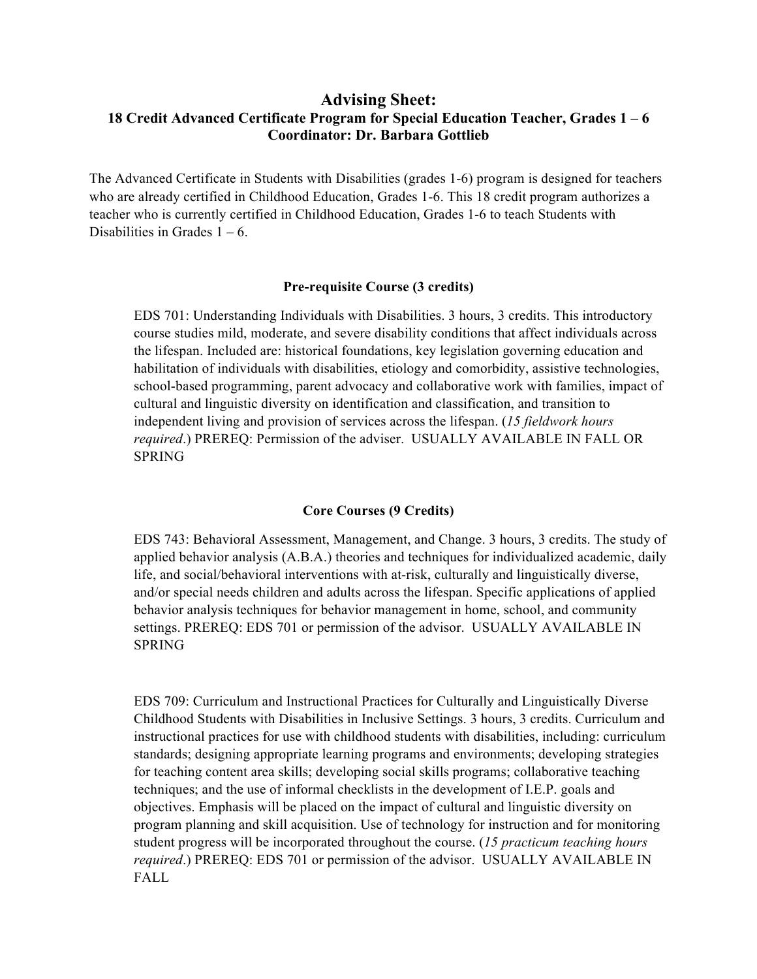## **Advising Sheet: 18 Credit Advanced Certificate Program for Special Education Teacher, Grades 1 – 6 Coordinator: Dr. Barbara Gottlieb**

The Advanced Certificate in Students with Disabilities (grades 1-6) program is designed for teachers who are already certified in Childhood Education, Grades 1-6. This 18 credit program authorizes a teacher who is currently certified in Childhood Education, Grades 1-6 to teach Students with Disabilities in Grades  $1 - 6$ .

## **Pre-requisite Course (3 credits)**

 EDS 701: Understanding Individuals with Disabilities. 3 hours, 3 credits. This introductory course studies mild, moderate, and severe disability conditions that affect individuals across the lifespan. Included are: historical foundations, key legislation governing education and habilitation of individuals with disabilities, etiology and comorbidity, assistive technologies, school-based programming, parent advocacy and collaborative work with families, impact of cultural and linguistic diversity on identification and classification, and transition to independent living and provision of services across the lifespan. (*15 fieldwork hours required*.) PREREQ: Permission of the adviser. USUALLY AVAILABLE IN FALL OR SPRING

## **Core Courses (9 Credits)**

 EDS 743: Behavioral Assessment, Management, and Change. 3 hours, 3 credits. The study of applied behavior analysis (A.B.A.) theories and techniques for individualized academic, daily life, and social/behavioral interventions with at-risk, culturally and linguistically diverse, and/or special needs children and adults across the lifespan. Specific applications of applied behavior analysis techniques for behavior management in home, school, and community settings. PREREQ: EDS 701 or permission of the advisor. USUALLY AVAILABLE IN SPRING

 EDS 709: Curriculum and Instructional Practices for Culturally and Linguistically Diverse Childhood Students with Disabilities in Inclusive Settings. 3 hours, 3 credits. Curriculum and instructional practices for use with childhood students with disabilities, including: curriculum standards; designing appropriate learning programs and environments; developing strategies for teaching content area skills; developing social skills programs; collaborative teaching techniques; and the use of informal checklists in the development of I.E.P. goals and objectives. Emphasis will be placed on the impact of cultural and linguistic diversity on program planning and skill acquisition. Use of technology for instruction and for monitoring student progress will be incorporated throughout the course. (*15 practicum teaching hours required*.) PREREQ: EDS 701 or permission of the advisor. USUALLY AVAILABLE IN FALL